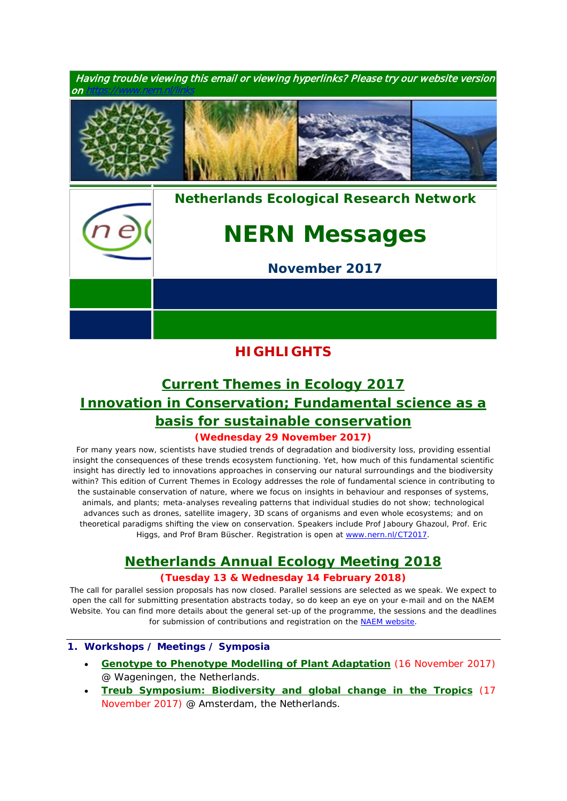

## **HIGHLIGHTS**

# *[Current Themes in Ecology 2017](https://www.nern.nl/CT2017) Innovation in Conservation; Fundamental science as a basis for sustainable conservation*

### **(Wednesday 29 November 2017)**

*For many years now, scientists have studied trends of degradation and biodiversity loss, providing essential insight the consequences of these trends ecosystem functioning. Yet, how much of this fundamental scientific insight has directly led to innovations approaches in conserving our natural surroundings and the biodiversity within? This edition of Current Themes in Ecology addresses the role of fundamental science in contributing to the sustainable conservation of nature, where we focus on insights in behaviour and responses of systems, animals, and plants; meta-analyses revealing patterns that individual studies do not show; technological advances such as drones, satellite imagery, 3D scans of organisms and even whole ecosystems; and on theoretical paradigms shifting the view on conservation. Speakers include Prof Jaboury Ghazoul, Prof. Eric*  Higgs, and Prof Bram Büscher. Registration is open at [www.nern.nl/CT2017](http://www.nern.nl/CT2017).

### *[Netherlands Annual Ecology Meeting 2018](https://www.nern.nl/NAEM2018)*

### **(Tuesday 13 & Wednesday 14 February 2018)**

*The call for parallel session proposals has now closed. Parallel sessions are selected as we speak. We expect to open the call for submitting presentation abstracts today, so do keep an eye on your e-mail and on the NAEM Website. You can find more details about the general set-up of the programme, the sessions and the deadlines for submission of contributions and registration on the* [NAEM website](https://www.nern.nl/NAEM2018)*.*

### **1. Workshops / Meetings / Symposia**

- **[Genotype to Phenotype Modelling of Plant Adaptation](https://www.wur.nl/en/Expertise-Services/Research-Institutes/plant-research/Biometris-1/Genotype-to-Phenotype-Modelling-of-Plant-Adaptation-.htm)** (16 November 2017) @ Wageningen, the Netherlands.
- **[Treub Symposium: Biodiversity and global change in the Tropics](https://www.pe-rc.nl/treub-symposium)** (17 November 2017) @ Amsterdam, the Netherlands.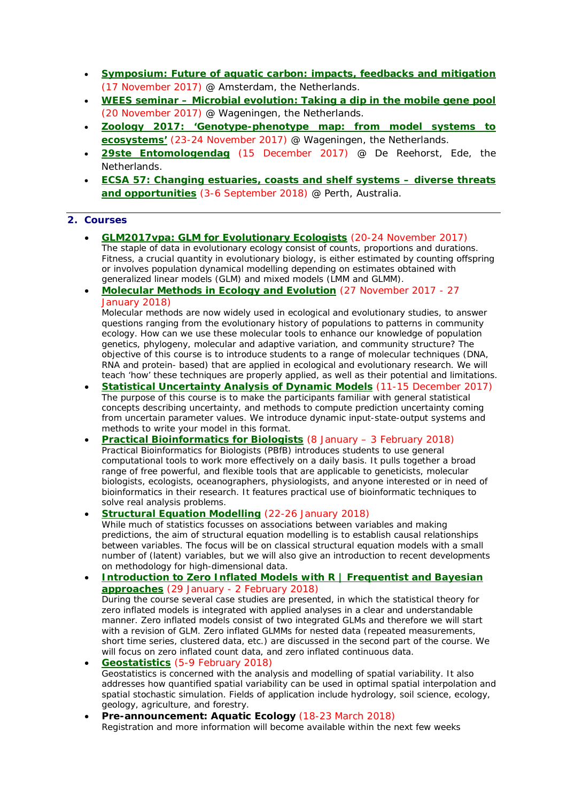- **[Symposium: Future of aquatic carbon: impacts, feedbacks and mitigation](https://www.wetland-ecology.nl/en/registeer#overlay-context=en/calendar/future-aquatic-carbon-impacts-feedbacks-and-mitigation)** (17 November 2017) @ Amsterdam, the Netherlands.
- **WEES seminar – [Microbial evolution: Taking a dip in the mobile gene pool](https://www.pe-rc.nl/sites/default/files/WEES%20poster%20November2017.pdf)** (20 November 2017) @ Wageningen, the Netherlands.
- **[Zoology 2017: 'Genotype-phenotype map: from model systems to](https://www.wur.nl/en/activity/Zoology-2017-Genotype-phenotype-map-from-model-systems-to-ecosystems-1.htm)  [ecosystems'](https://www.wur.nl/en/activity/Zoology-2017-Genotype-phenotype-map-from-model-systems-to-ecosystems-1.htm)** (23-24 November 2017) @ Wageningen, the Netherlands.
- **[29ste Entomologendag](https://www.nern.nl/node/19275)** (15 December 2017) @ De Reehorst, Ede, the **Netherlands**
- **[ECSA 57: Changing estuaries, coasts and shelf systems –](http://www.estuarinecoastalconference.com/) diverse threats [and opportunities](http://www.estuarinecoastalconference.com/)** (3-6 September 2018) @ Perth, Australia.

#### **2. Courses**

- **[GLM2017vpa: GLM for Evolutionary Ecologists](https://glm2017vpa.sciencesconf.org/)** (20-24 November 2017) *The staple of data in evolutionary ecology consist of counts, proportions and durations. Fitness, a crucial quantity in evolutionary biology, is either estimated by counting offspring or involves population dynamical modelling depending on estimates obtained with generalized linear models (GLM) and mixed models (LMM and GLMM).*
- **[Molecular Methods in Ecology and Evolution](http://www.rug.nl/research/ecology-and-evolution/phdcourses/molecularmethodsecolgyevolution)** (27 November 2017 27 January 2018)

*Molecular methods are now widely used in ecological and evolutionary studies, to answer questions ranging from the evolutionary history of populations to patterns in community ecology. How can we use these molecular tools to enhance our knowledge of population genetics, phylogeny, molecular and adaptive variation, and community structure? The objective of this course is to introduce students to a range of molecular techniques (DNA, RNA and protein- based) that are applied in ecological and evolutionary research. We will teach 'how' these techniques are properly applied, as well as their potential and limitations.*

- **[Statistical Uncertainty Analysis of Dynamic Models](https://www.pe-rc.nl/postgraduate-courses/uncertainty-analysis-dynamic-models)** (11-15 December 2017) *The purpose of this course is to make the participants familiar with general statistical concepts describing uncertainty, and methods to compute prediction uncertainty coming from uncertain parameter values. We introduce dynamic input-state-output systems and methods to write your model in this format.*
- **[Practical Bioinformatics for Biologists](http://www.rug.nl/research/ecology-and-evolution/phdcourses/practical-bioinformatics-for-biologists)** (8 January 3 February 2018) *Practical Bioinformatics for Biologists (PBfB) introduces students to use general computational tools to work more effectively on a daily basis. It pulls together a broad*  range of free powerful, and flexible tools that are applicable to geneticists, molecular *biologists, ecologists, oceanographers, physiologists, and anyone interested or in need of bioinformatics in their research. It features practical use of bioinformatic techniques to solve real analysis problems.*
- **[Structural Equation Modelling](https://www.pe-rc.nl/SEM)** (22-26 January 2018)

*While much of statistics focusses on associations between variables and making predictions, the aim of structural equation modelling is to establish causal relationships*  between variables. The focus will be on classical structural equation models with a small *number of (latent) variables, but we will also give an introduction to recent developments on methodology for high-dimensional data.*

- **[Introduction to Zero Inflated Models with R | Frequentist and Bayesian](https://www.pe-rc.nl/glmm) [approaches](https://www.pe-rc.nl/glmm)** (29 January - 2 February 2018) *During the course several case studies are presented, in which the statistical theory for zero inflated models is integrated with applied analyses in a clear and understandable manner. Zero inflated models consist of two integrated GLMs and therefore we will start with a revision of GLM. Zero inflated GLMMs for nested data (repeated measurements, short time series, clustered data, etc.) are discussed in the second part of the course. We will focus on zero inflated count data, and zero inflated continuous data.* • **[Geostatistics](https://www.pe-rc.nl/postgraduate-courses/geostatistics)** (5-9 February 2018)
- *Geostatistics is concerned with the analysis and modelling of spatial variability. It also addresses how quantified spatial variability can be used in optimal spatial interpolation and spatial stochastic simulation. Fields of application include hydrology, soil science, ecology, geology, agriculture, and forestry.*
- **Pre-announcement: Aquatic Ecology** (18-23 March 2018) *Registration and more information will become available within the next few weeks*